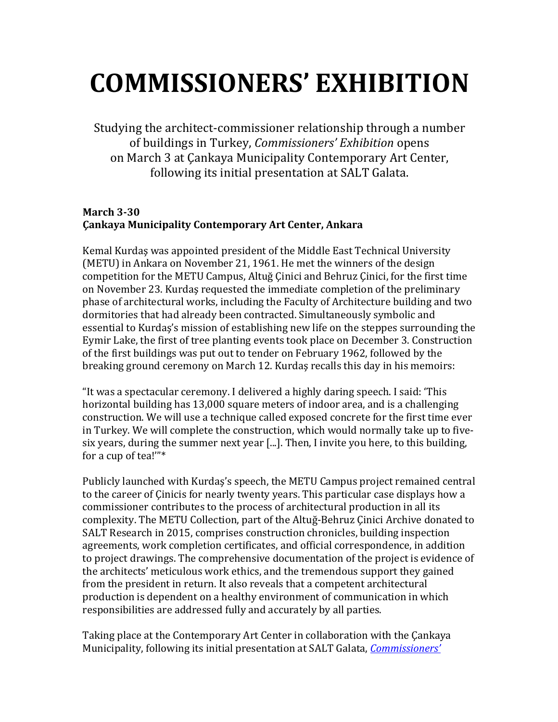# **COMMISSIONERS' EXHIBITION**

Studying the architect-commissioner relationship through a number of buildings in Turkey, *Commissioners' Exhibition* opens on March 3 at Cankaya Municipality Contemporary Art Center, following its initial presentation at SALT Galata.

### **March 3-30 Çankaya Municipality Contemporary Art Center, Ankara**

Kemal Kurdaş was appointed president of the Middle East Technical University (METU) in Ankara on November 21, 1961. He met the winners of the design competition for the METU Campus, Altuğ Cinici and Behruz Cinici, for the first time on November 23. Kurdas requested the immediate completion of the preliminary phase of architectural works, including the Faculty of Architecture building and two dormitories that had already been contracted. Simultaneously symbolic and essential to Kurdas's mission of establishing new life on the steppes surrounding the Eymir Lake, the first of tree planting events took place on December 3. Construction of the first buildings was put out to tender on February 1962, followed by the breaking ground ceremony on March 12. Kurdaş recalls this day in his memoirs:

"It was a spectacular ceremony. I delivered a highly daring speech. I said: 'This horizontal building has 13,000 square meters of indoor area, and is a challenging construction. We will use a technique called exposed concrete for the first time ever in Turkey. We will complete the construction, which would normally take up to fivesix years, during the summer next year  $[...]$ . Then, I invite you here, to this building, for a cup of tea!" $*$ 

Publicly launched with Kurdaş's speech, the METU Campus project remained central to the career of Cinicis for nearly twenty years. This particular case displays how a commissioner contributes to the process of architectural production in all its complexity. The METU Collection, part of the Altuğ-Behruz Çinici Archive donated to SALT Research in 2015, comprises construction chronicles, building inspection agreements, work completion certificates, and official correspondence, in addition to project drawings. The comprehensive documentation of the project is evidence of the architects' meticulous work ethics, and the tremendous support they gained from the president in return. It also reveals that a competent architectural production is dependent on a healthy environment of communication in which responsibilities are addressed fully and accurately by all parties.

Taking place at the Contemporary Art Center in collaboration with the Cankaya Municipality, following its initial presentation at SALT Galata, *Commissioners'*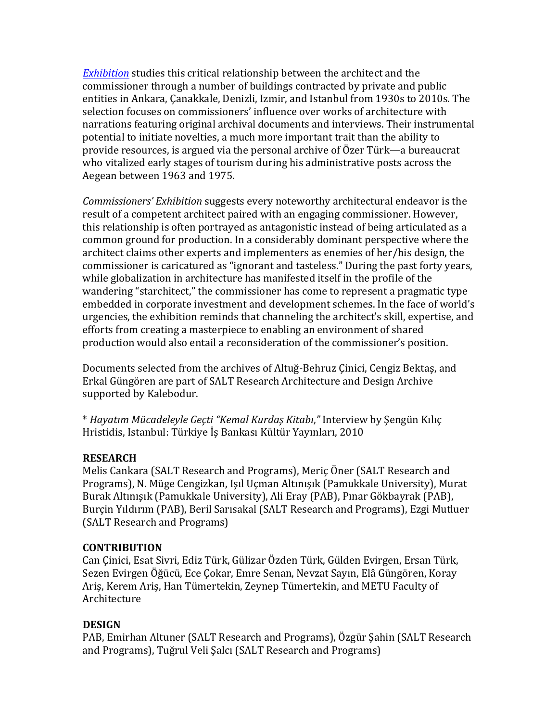*Exhibition* studies this critical relationship between the architect and the commissioner through a number of buildings contracted by private and public entities in Ankara, Çanakkale, Denizli, Izmir, and Istanbul from 1930s to 2010s. The selection focuses on commissioners' influence over works of architecture with narrations featuring original archival documents and interviews. Their instrumental potential to initiate novelties, a much more important trait than the ability to provide resources, is argued via the personal archive of Özer Türk—a bureaucrat who vitalized early stages of tourism during his administrative posts across the Aegean between 1963 and 1975.

*Commissioners' Exhibition* suggests every noteworthy architectural endeavor is the result of a competent architect paired with an engaging commissioner. However, this relationship is often portrayed as antagonistic instead of being articulated as a common ground for production. In a considerably dominant perspective where the architect claims other experts and implementers as enemies of her/his design, the commissioner is caricatured as "ignorant and tasteless." During the past forty years, while globalization in architecture has manifested itself in the profile of the wandering "starchitect," the commissioner has come to represent a pragmatic type embedded in corporate investment and development schemes. In the face of world's urgencies, the exhibition reminds that channeling the architect's skill, expertise, and efforts from creating a masterpiece to enabling an environment of shared production would also entail a reconsideration of the commissioner's position.

Documents selected from the archives of Altuğ-Behruz Çinici, Cengiz Bektaş, and Erkal Güngören are part of SALT Research Architecture and Design Archive supported by Kalebodur.

\* *Hayatım Mücadeleyle Geçti "Kemal Kurdaş Kitabı*,*"* Interview by Şengün Kılıç Hristidis, Istanbul: Türkiye İs Bankası Kültür Yayınları, 2010

#### **RESEARCH**

Melis Cankara (SALT Research and Programs), Meriç Öner (SALT Research and Programs), N. Müge Cengizkan, Isıl Uçman Altınışık (Pamukkale University), Murat Burak Altınışık (Pamukkale University), Ali Eray (PAB), Pınar Gökbayrak (PAB), Burçin Yıldırım (PAB), Beril Sarısakal (SALT Research and Programs), Ezgi Mutluer (SALT Research and Programs)

#### **CONTRIBUTION**

Can Cinici, Esat Sivri, Ediz Türk, Gülizar Özden Türk, Gülden Evirgen, Ersan Türk, Sezen Evirgen Öğücü, Ece Çokar, Emre Senan, Nevzat Sayın, Elâ Güngören, Koray Ariş, Kerem Ariş, Han Tümertekin, Zeynep Tümertekin, and METU Faculty of Architecture 

## **DESIGN**

PAB, Emirhan Altuner (SALT Research and Programs), Özgür Şahin (SALT Research and Programs), Tuğrul Veli Şalcı (SALT Research and Programs)